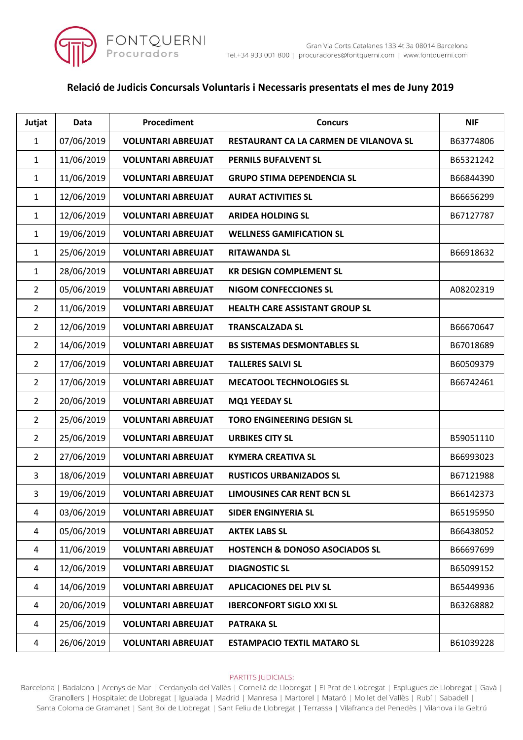

## **Relació de Judicis Concursals Voluntaris i Necessaris presentats el mes de Juny 2019**

| Jutjat         | <b>Data</b> | Procediment               | <b>Concurs</b>                            | <b>NIF</b> |
|----------------|-------------|---------------------------|-------------------------------------------|------------|
| $\mathbf{1}$   | 07/06/2019  | <b>VOLUNTARI ABREUJAT</b> | RESTAURANT CA LA CARMEN DE VILANOVA SL    | B63774806  |
| $\mathbf{1}$   | 11/06/2019  | <b>VOLUNTARI ABREUJAT</b> | <b>PERNILS BUFALVENT SL</b>               | B65321242  |
| $\mathbf{1}$   | 11/06/2019  | <b>VOLUNTARI ABREUJAT</b> | <b>GRUPO STIMA DEPENDENCIA SL</b>         | B66844390  |
| $\mathbf{1}$   | 12/06/2019  | <b>VOLUNTARI ABREUJAT</b> | <b>AURAT ACTIVITIES SL</b>                | B66656299  |
| $\mathbf{1}$   | 12/06/2019  | <b>VOLUNTARI ABREUJAT</b> | <b>ARIDEA HOLDING SL</b>                  | B67127787  |
| $\mathbf{1}$   | 19/06/2019  | <b>VOLUNTARI ABREUJAT</b> | <b>WELLNESS GAMIFICATION SL</b>           |            |
| $\mathbf{1}$   | 25/06/2019  | <b>VOLUNTARI ABREUJAT</b> | <b>RITAWANDA SL</b>                       | B66918632  |
| $\mathbf{1}$   | 28/06/2019  | <b>VOLUNTARI ABREUJAT</b> | <b>KR DESIGN COMPLEMENT SL</b>            |            |
| $\overline{2}$ | 05/06/2019  | <b>VOLUNTARI ABREUJAT</b> | <b>NIGOM CONFECCIONES SL</b>              | A08202319  |
| $\overline{2}$ | 11/06/2019  | <b>VOLUNTARI ABREUJAT</b> | <b>HEALTH CARE ASSISTANT GROUP SL</b>     |            |
| $\overline{2}$ | 12/06/2019  | <b>VOLUNTARI ABREUJAT</b> | <b>TRANSCALZADA SL</b>                    | B66670647  |
| $\overline{2}$ | 14/06/2019  | <b>VOLUNTARI ABREUJAT</b> | <b>BS SISTEMAS DESMONTABLES SL</b>        | B67018689  |
| $\overline{2}$ | 17/06/2019  | <b>VOLUNTARI ABREUJAT</b> | <b>TALLERES SALVI SL</b>                  | B60509379  |
| $\overline{2}$ | 17/06/2019  | <b>VOLUNTARI ABREUJAT</b> | <b>MECATOOL TECHNOLOGIES SL</b>           | B66742461  |
| $\overline{2}$ | 20/06/2019  | <b>VOLUNTARI ABREUJAT</b> | <b>MQ1 YEEDAY SL</b>                      |            |
| $\overline{2}$ | 25/06/2019  | <b>VOLUNTARI ABREUJAT</b> | <b>TORO ENGINEERING DESIGN SL</b>         |            |
| $\overline{2}$ | 25/06/2019  | <b>VOLUNTARI ABREUJAT</b> | <b>URBIKES CITY SL</b>                    | B59051110  |
| $\overline{2}$ | 27/06/2019  | <b>VOLUNTARI ABREUJAT</b> | <b>KYMERA CREATIVA SL</b>                 | B66993023  |
| 3              | 18/06/2019  | <b>VOLUNTARI ABREUJAT</b> | <b>RUSTICOS URBANIZADOS SL</b>            | B67121988  |
| 3              | 19/06/2019  | <b>VOLUNTARI ABREUJAT</b> | <b>LIMOUSINES CAR RENT BCN SL</b>         | B66142373  |
| 4              | 03/06/2019  | <b>VOLUNTARI ABREUJAT</b> | <b>SIDER ENGINYERIA SL</b>                | B65195950  |
| 4              | 05/06/2019  | <b>VOLUNTARI ABREUJAT</b> | <b>AKTEK LABS SL</b>                      | B66438052  |
| 4              | 11/06/2019  | <b>VOLUNTARI ABREUJAT</b> | <b>HOSTENCH &amp; DONOSO ASOCIADOS SL</b> | B66697699  |
| 4              | 12/06/2019  | <b>VOLUNTARI ABREUJAT</b> | <b>DIAGNOSTIC SL</b>                      | B65099152  |
| 4              | 14/06/2019  | <b>VOLUNTARI ABREUJAT</b> | <b>APLICACIONES DEL PLV SL</b>            | B65449936  |
| 4              | 20/06/2019  | <b>VOLUNTARI ABREUJAT</b> | <b>IBERCONFORT SIGLO XXI SL</b>           | B63268882  |
| 4              | 25/06/2019  | <b>VOLUNTARI ABREUJAT</b> | <b>PATRAKA SL</b>                         |            |
| 4              | 26/06/2019  | <b>VOLUNTARI ABREUJAT</b> | <b>ESTAMPACIO TEXTIL MATARO SL</b>        | B61039228  |

## PARTITS JUDICIALS:

Barcelona | Badalona | Arenys de Mar | Cerdanyola del Vallès | Cornellà de Llobregat | El Prat de Llobregat | Esplugues de Llobregat | Gavà | Granollers | Hospitalet de Llobregat | Igualada | Madrid | Manresa | Martorel | Mataró | Mollet del Vallès | Rubí | Sabadell | Santa Coloma de Gramanet | Sant Boi de Llobregat | Sant Feliu de Llobregat | Terrassa | Vilafranca del Penedès | Vilanova i la Geltrú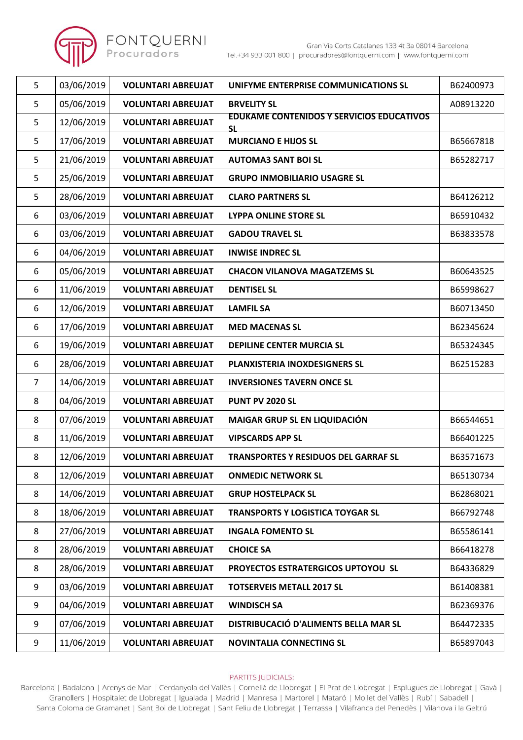

| 5              | 03/06/2019 | <b>VOLUNTARI ABREUJAT</b> | UNIFYME ENTERPRISE COMMUNICATIONS SL                          | B62400973 |
|----------------|------------|---------------------------|---------------------------------------------------------------|-----------|
| 5              | 05/06/2019 | <b>VOLUNTARI ABREUJAT</b> | <b>BRVELITY SL</b>                                            | A08913220 |
| 5              | 12/06/2019 | <b>VOLUNTARI ABREUJAT</b> | <b>EDUKAME CONTENIDOS Y SERVICIOS EDUCATIVOS</b><br><b>SL</b> |           |
| 5              | 17/06/2019 | <b>VOLUNTARI ABREUJAT</b> | <b>MURCIANO E HIJOS SL</b>                                    | B65667818 |
| 5              | 21/06/2019 | <b>VOLUNTARI ABREUJAT</b> | <b>AUTOMA3 SANT BOI SL</b>                                    | B65282717 |
| 5              | 25/06/2019 | <b>VOLUNTARI ABREUJAT</b> | <b>GRUPO INMOBILIARIO USAGRE SL</b>                           |           |
| 5              | 28/06/2019 | <b>VOLUNTARI ABREUJAT</b> | <b>CLARO PARTNERS SL</b>                                      | B64126212 |
| 6              | 03/06/2019 | <b>VOLUNTARI ABREUJAT</b> | <b>LYPPA ONLINE STORE SL</b>                                  | B65910432 |
| 6              | 03/06/2019 | <b>VOLUNTARI ABREUJAT</b> | <b>GADOU TRAVEL SL</b>                                        | B63833578 |
| 6              | 04/06/2019 | <b>VOLUNTARI ABREUJAT</b> | <b>INWISE INDREC SL</b>                                       |           |
| 6              | 05/06/2019 | <b>VOLUNTARI ABREUJAT</b> | <b>CHACON VILANOVA MAGATZEMS SL</b>                           | B60643525 |
| 6              | 11/06/2019 | <b>VOLUNTARI ABREUJAT</b> | <b>DENTISEL SL</b>                                            | B65998627 |
| 6              | 12/06/2019 | <b>VOLUNTARI ABREUJAT</b> | <b>LAMFIL SA</b>                                              | B60713450 |
| 6              | 17/06/2019 | <b>VOLUNTARI ABREUJAT</b> | <b>MED MACENAS SL</b>                                         | B62345624 |
| 6              | 19/06/2019 | <b>VOLUNTARI ABREUJAT</b> | <b>DEPILINE CENTER MURCIA SL</b>                              | B65324345 |
| 6              | 28/06/2019 | <b>VOLUNTARI ABREUJAT</b> | PLANXISTERIA INOXDESIGNERS SL                                 | B62515283 |
| $\overline{7}$ | 14/06/2019 | <b>VOLUNTARI ABREUJAT</b> | INVERSIONES TAVERN ONCE SL                                    |           |
| 8              | 04/06/2019 | <b>VOLUNTARI ABREUJAT</b> | <b>PUNT PV 2020 SL</b>                                        |           |
| 8              | 07/06/2019 | <b>VOLUNTARI ABREUJAT</b> | <b>MAIGAR GRUP SL EN LIQUIDACIÓN</b>                          | B66544651 |
| 8              | 11/06/2019 | <b>VOLUNTARI ABREUJAT</b> | <b>VIPSCARDS APP SL</b>                                       | B66401225 |
| 8              | 12/06/2019 | <b>VOLUNTARI ABREUJAT</b> | <b>TRANSPORTES Y RESIDUOS DEL GARRAF SL</b>                   | B63571673 |
| 8              | 12/06/2019 | <b>VOLUNTARI ABREUJAT</b> | <b>ONMEDIC NETWORK SL</b>                                     | B65130734 |
| 8              | 14/06/2019 | <b>VOLUNTARI ABREUJAT</b> | <b>GRUP HOSTELPACK SL</b>                                     | B62868021 |
| 8              | 18/06/2019 | <b>VOLUNTARI ABREUJAT</b> | <b>TRANSPORTS Y LOGISTICA TOYGAR SL</b>                       | B66792748 |
| 8              | 27/06/2019 | <b>VOLUNTARI ABREUJAT</b> | <b>INGALA FOMENTO SL</b>                                      | B65586141 |
| 8              | 28/06/2019 | <b>VOLUNTARI ABREUJAT</b> | <b>CHOICE SA</b>                                              | B66418278 |
| 8              | 28/06/2019 | <b>VOLUNTARI ABREUJAT</b> | <b>PROYECTOS ESTRATERGICOS UPTOYOU SL</b>                     | B64336829 |
| 9              | 03/06/2019 | <b>VOLUNTARI ABREUJAT</b> | <b>TOTSERVEIS METALL 2017 SL</b>                              | B61408381 |
| 9              | 04/06/2019 | <b>VOLUNTARI ABREUJAT</b> | <b>WINDISCH SA</b>                                            | B62369376 |
| 9              | 07/06/2019 | <b>VOLUNTARI ABREUJAT</b> | DISTRIBUCACIÓ D'ALIMENTS BELLA MAR SL                         | B64472335 |
| 9              | 11/06/2019 | <b>VOLUNTARI ABREUJAT</b> | <b>NOVINTALIA CONNECTING SL</b>                               | B65897043 |

## PARTITS JUDICIALS:

Barcelona | Badalona | Arenys de Mar | Cerdanyola del Vallès | Cornellà de Llobregat | El Prat de Llobregat | Esplugues de Llobregat | Gavà | Granollers | Hospitalet de Llobregat | Igualada | Madrid | Manresa | Martorel | Mataró | Mollet del Vallès | Rubí | Sabadell | Santa Coloma de Gramanet | Sant Boi de Llobregat | Sant Feliu de Llobregat | Terrassa | Vilafranca del Penedès | Vilanova i la Geltrú